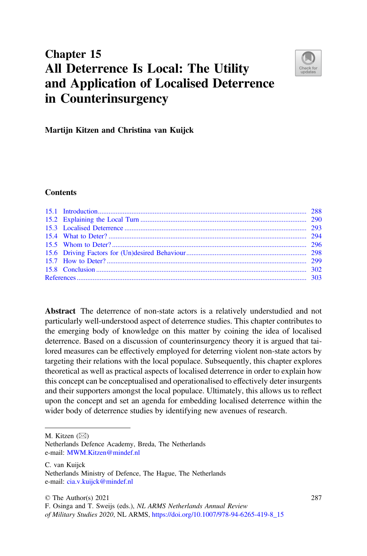# Chapter 15 All Deterrence Is Local: The Utility and Application of Localised Deterrence in Counterinsurgency



Martijn Kitzen and Christina van Kuijck

#### **Contents**

Abstract The deterrence of non-state actors is a relatively understudied and not particularly well-understood aspect of deterrence studies. This chapter contributes to the emerging body of knowledge on this matter by coining the idea of localised deterrence. Based on a discussion of counterinsurgency theory it is argued that tailored measures can be effectively employed for deterring violent non-state actors by targeting their relations with the local populace. Subsequently, this chapter explores theoretical as well as practical aspects of localised deterrence in order to explain how this concept can be conceptualised and operationalised to effectively deter insurgents and their supporters amongst the local populace. Ultimately, this allows us to reflect upon the concept and set an agenda for embedding localised deterrence within the wider body of deterrence studies by identifying new avenues of research.

M. Kitzen  $(\boxtimes)$ 

© The Author(s) 2021

F. Osinga and T. Sweijs (eds.), NL ARMS Netherlands Annual Review

Netherlands Defence Academy, Breda, The Netherlands e-mail: [MWM.Kitzen@mindef.nl](mailto:MWM.Kitzen@mindef.nl)

C. van Kuijck Netherlands Ministry of Defence, The Hague, The Netherlands e-mail: [cia.v.kuijck@mindef.nl](mailto:cia.v.kuijck@mindef.nl)

of Military Studies 2020, NL ARMS, [https://doi.org/10.1007/978-94-6265-419-8\\_15](https://doi.org/10.1007/978-94-6265-419-8_15)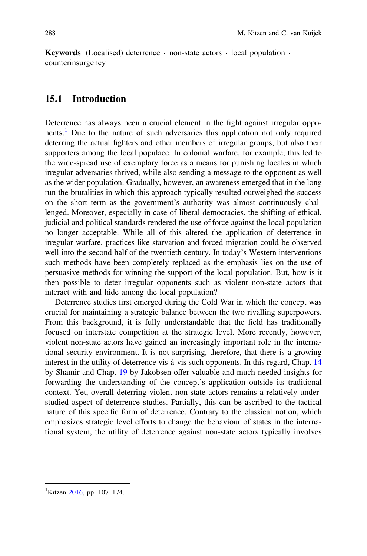<span id="page-1-0"></span>**Keywords** (Localised) deterrence  $\cdot$  non-state actors  $\cdot$  local population  $\cdot$  counterinsurgency

## 15.1 Introduction

Deterrence has always been a crucial element in the fight against irregular opponents.<sup>1</sup> Due to the nature of such adversaries this application not only required deterring the actual fighters and other members of irregular groups, but also their supporters among the local populace. In colonial warfare, for example, this led to the wide-spread use of exemplary force as a means for punishing locales in which irregular adversaries thrived, while also sending a message to the opponent as well as the wider population. Gradually, however, an awareness emerged that in the long run the brutalities in which this approach typically resulted outweighed the success on the short term as the government's authority was almost continuously challenged. Moreover, especially in case of liberal democracies, the shifting of ethical, judicial and political standards rendered the use of force against the local population no longer acceptable. While all of this altered the application of deterrence in irregular warfare, practices like starvation and forced migration could be observed well into the second half of the twentieth century. In today's Western interventions such methods have been completely replaced as the emphasis lies on the use of persuasive methods for winning the support of the local population. But, how is it then possible to deter irregular opponents such as violent non-state actors that interact with and hide among the local population?

Deterrence studies first emerged during the Cold War in which the concept was crucial for maintaining a strategic balance between the two rivalling superpowers. From this background, it is fully understandable that the field has traditionally focused on interstate competition at the strategic level. More recently, however, violent non-state actors have gained an increasingly important role in the international security environment. It is not surprising, therefore, that there is a growing interest in the utility of deterrence vis-à-vis such opponents. In this regard, Chap. 14 by Shamir and Chap. 19 by Jakobsen offer valuable and much-needed insights for forwarding the understanding of the concept's application outside its traditional context. Yet, overall deterring violent non-state actors remains a relatively understudied aspect of deterrence studies. Partially, this can be ascribed to the tactical nature of this specific form of deterrence. Contrary to the classical notion, which emphasizes strategic level efforts to change the behaviour of states in the international system, the utility of deterrence against non-state actors typically involves

<sup>&</sup>lt;sup>1</sup>Kitzen [2016](#page-19-0), pp. 107-174.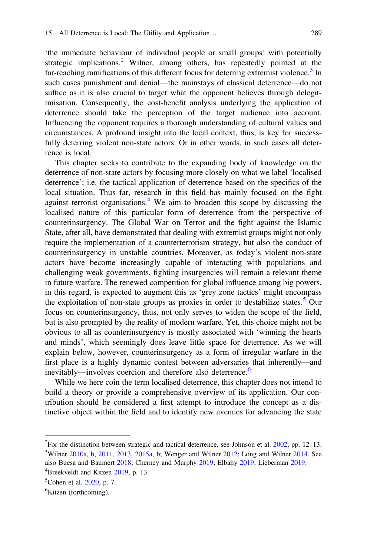'the immediate behaviour of individual people or small groups' with potentially strategic implications.<sup>2</sup> Wilner, among others, has repeatedly pointed at the far-reaching ramifications of this different focus for deterring extremist violence.<sup>3</sup> In such cases punishment and denial—the mainstays of classical deterrence—do not suffice as it is also crucial to target what the opponent believes through delegitimisation. Consequently, the cost-benefit analysis underlying the application of deterrence should take the perception of the target audience into account. Influencing the opponent requires a thorough understanding of cultural values and circumstances. A profound insight into the local context, thus, is key for successfully deterring violent non-state actors. Or in other words, in such cases all deterrence is local.

This chapter seeks to contribute to the expanding body of knowledge on the deterrence of non-state actors by focusing more closely on what we label 'localised deterrence'; i.e. the tactical application of deterrence based on the specifics of the local situation. Thus far, research in this field has mainly focused on the fight against terrorist organisations.<sup>4</sup> We aim to broaden this scope by discussing the localised nature of this particular form of deterrence from the perspective of counterinsurgency. The Global War on Terror and the fight against the Islamic State, after all, have demonstrated that dealing with extremist groups might not only require the implementation of a counterterrorism strategy, but also the conduct of counterinsurgency in unstable countries. Moreover, as today's violent non-state actors have become increasingly capable of interacting with populations and challenging weak governments, fighting insurgencies will remain a relevant theme in future warfare. The renewed competition for global influence among big powers, in this regard, is expected to augment this as 'grey zone tactics' might encompass the exploitation of non-state groups as proxies in order to destabilize states.<sup>5</sup> Our focus on counterinsurgency, thus, not only serves to widen the scope of the field, but is also prompted by the reality of modern warfare. Yet, this choice might not be obvious to all as counterinsurgency is mostly associated with 'winning the hearts and minds', which seemingly does leave little space for deterrence. As we will explain below, however, counterinsurgency as a form of irregular warfare in the first place is a highly dynamic contest between adversaries that inherently—and inevitably—involves coercion and therefore also deterrence.<sup>6</sup>

While we here coin the term localised deterrence, this chapter does not intend to build a theory or provide a comprehensive overview of its application. Our contribution should be considered a first attempt to introduce the concept as a distinctive object within the field and to identify new avenues for advancing the state

<sup>&</sup>lt;sup>2</sup>For the distinction between strategic and tactical deterrence, see Johnson et al.  $2002$ , pp. 12–13. <sup>3</sup>Wilner [2010a,](#page-22-0) [b,](#page-22-0) [2011,](#page-23-0) [2013,](#page-23-0) [2015a,](#page-23-0) [b;](#page-23-0) Wenger and Wilner [2012](#page-22-0); Long and Wilner [2014](#page-20-0). See also Buesa and Baumert [2018](#page-17-0); Cherney and Murphy [2019;](#page-17-0) Elbahy [2019](#page-18-0); Lieberman [2019](#page-20-0). <sup>4</sup>Breekveldt and Kitzen [2019,](#page-17-0) p. 13.

<sup>&</sup>lt;sup>5</sup>Cohen et al. [2020,](#page-17-0) p. 7.

<sup>6</sup> Kitzen (forthcoming).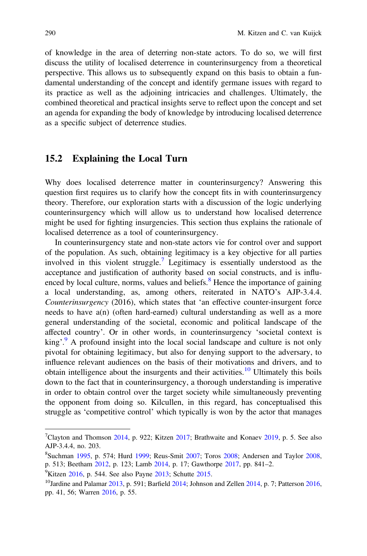<span id="page-3-0"></span>of knowledge in the area of deterring non-state actors. To do so, we will first discuss the utility of localised deterrence in counterinsurgency from a theoretical perspective. This allows us to subsequently expand on this basis to obtain a fundamental understanding of the concept and identify germane issues with regard to its practice as well as the adjoining intricacies and challenges. Ultimately, the combined theoretical and practical insights serve to reflect upon the concept and set an agenda for expanding the body of knowledge by introducing localised deterrence as a specific subject of deterrence studies.

# 15.2 Explaining the Local Turn

Why does localised deterrence matter in counterinsurgency? Answering this question first requires us to clarify how the concept fits in with counterinsurgency theory. Therefore, our exploration starts with a discussion of the logic underlying counterinsurgency which will allow us to understand how localised deterrence might be used for fighting insurgencies. This section thus explains the rationale of localised deterrence as a tool of counterinsurgency.

In counterinsurgency state and non-state actors vie for control over and support of the population. As such, obtaining legitimacy is a key objective for all parties involved in this violent struggle.<sup>7</sup> Legitimacy is essentially understood as the acceptance and justification of authority based on social constructs, and is influenced by local culture, norms, values and beliefs. $\frac{8}{3}$  Hence the importance of gaining a local understanding, as, among others, reiterated in NATO's AJP-3.4.4. Counterinsurgency (2016), which states that 'an effective counter-insurgent force needs to have a(n) (often hard-earned) cultural understanding as well as a more general understanding of the societal, economic and political landscape of the affected country'. Or in other words, in counterinsurgency 'societal context is king'.<sup>9</sup> A profound insight into the local social landscape and culture is not only pivotal for obtaining legitimacy, but also for denying support to the adversary, to influence relevant audiences on the basis of their motivations and drivers, and to obtain intelligence about the insurgents and their activities.<sup>10</sup> Ultimately this boils down to the fact that in counterinsurgency, a thorough understanding is imperative in order to obtain control over the target society while simultaneously preventing the opponent from doing so. Kilcullen, in this regard, has conceptualised this struggle as 'competitive control' which typically is won by the actor that manages

<sup>&</sup>lt;sup>7</sup>Clayton and Thomson [2014](#page-17-0), p. 922; Kitzen [2017;](#page-19-0) Brathwaite and Konaev [2019,](#page-17-0) p. 5. See also AJP-3.4.4, no. 203.

<sup>&</sup>lt;sup>8</sup>Suchman [1995](#page-22-0), p. 574; Hurd [1999;](#page-18-0) Reus-Smit [2007;](#page-21-0) Toros [2008;](#page-22-0) Andersen and Taylor [2008](#page-16-0), p. 513; Beetham [2012](#page-17-0), p. 123; Lamb [2014,](#page-19-0) p. 17; Gawthorpe [2017,](#page-18-0) pp. 841-2.

 $^{9}$ Kitzen [2016](#page-19-0), p. 544. See also Payne [2013](#page-21-0); Schutte [2015](#page-22-0).

<sup>&</sup>lt;sup>10</sup>Jardine and Palamar  $2013$ , p. 591; Barfield  $2014$ ; Johnson and Zellen  $2014$ , p. 7; Patterson  $2016$ , pp. 41, 56; Warren [2016](#page-22-0), p. 55.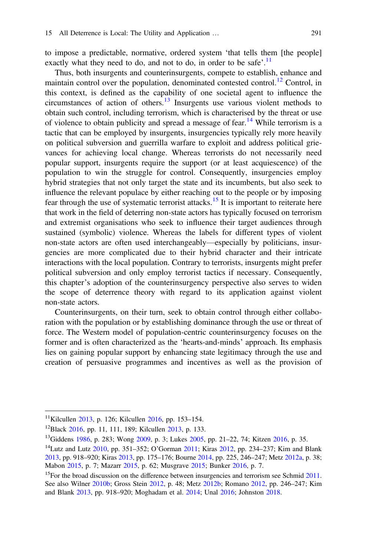to impose a predictable, normative, ordered system 'that tells them [the people] exactly what they need to do, and not to do, in order to be safe'.<sup>11</sup>

Thus, both insurgents and counterinsurgents, compete to establish, enhance and maintain control over the population, denominated contested control.<sup>12</sup> Control, in this context, is defined as the capability of one societal agent to influence the circumstances of action of others. $\frac{13}{2}$  Insurgents use various violent methods to obtain such control, including terrorism, which is characterised by the threat or use of violence to obtain publicity and spread a message of fear.<sup>14</sup> While terrorism is a tactic that can be employed by insurgents, insurgencies typically rely more heavily on political subversion and guerrilla warfare to exploit and address political grievances for achieving local change. Whereas terrorists do not necessarily need popular support, insurgents require the support (or at least acquiescence) of the population to win the struggle for control. Consequently, insurgencies employ hybrid strategies that not only target the state and its incumbents, but also seek to influence the relevant populace by either reaching out to the people or by imposing fear through the use of systematic terrorist attacks.<sup>15</sup> It is important to reiterate here that work in the field of deterring non-state actors has typically focused on terrorism and extremist organisations who seek to influence their target audiences through sustained (symbolic) violence. Whereas the labels for different types of violent non-state actors are often used interchangeably—especially by politicians, insurgencies are more complicated due to their hybrid character and their intricate interactions with the local population. Contrary to terrorists, insurgents might prefer political subversion and only employ terrorist tactics if necessary. Consequently, this chapter's adoption of the counterinsurgency perspective also serves to widen the scope of deterrence theory with regard to its application against violent non-state actors.

Counterinsurgents, on their turn, seek to obtain control through either collaboration with the population or by establishing dominance through the use or threat of force. The Western model of population-centric counterinsurgency focuses on the former and is often characterized as the 'hearts-and-minds' approach. Its emphasis lies on gaining popular support by enhancing state legitimacy through the use and creation of persuasive programmes and incentives as well as the provision of

 $11$ Kilcullen [2013](#page-19-0), p. 126; Kilcullen [2016,](#page-19-0) pp. 153–154.

<sup>&</sup>lt;sup>12</sup>Black [2016,](#page-17-0) pp. 11, 111, 189; Kilcullen [2013,](#page-19-0) p. 133.

<sup>&</sup>lt;sup>13</sup>Giddens [1986](#page-18-0), p. 283; Wong [2009](#page-23-0), p. 3; Lukes [2005](#page-20-0), pp. 21–22, 74; Kitzen [2016](#page-19-0), p. 35.

 $^{14}$ Lutz and Lutz [2010](#page-20-0), pp. 351–352; O'Gorman [2011](#page-21-0); Kiras [2012,](#page-19-0) pp. 234–237; Kim and Blank [2013,](#page-19-0) pp. 918–920; Kiras [2013](#page-19-0), pp. 175–176; Bourne [2014,](#page-17-0) pp. 225, 246–247; Metz [2012a,](#page-20-0) p. 38; Mabon [2015,](#page-20-0) p. 7; Mazarr [2015,](#page-20-0) p. 62; Musgrave [2015;](#page-21-0) Bunker [2016,](#page-17-0) p. 7.

<sup>&</sup>lt;sup>15</sup>For the broad discussion on the difference between insurgencies and terrorism see Schmid  $2011$ . See also Wilner [2010b;](#page-22-0) Gross Stein [2012](#page-18-0), p. 48; Metz [2012b;](#page-20-0) Romano [2012,](#page-21-0) pp. 246–247; Kim and Blank [2013,](#page-19-0) pp. 918–920; Moghadam et al. [2014;](#page-21-0) Unal [2016;](#page-22-0) Johnston [2018.](#page-19-0)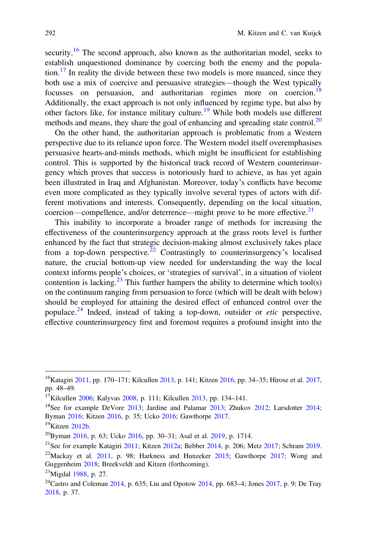security.<sup>16</sup> The second approach, also known as the authoritarian model, seeks to establish unquestioned dominance by coercing both the enemy and the population.<sup>17</sup> In reality the divide between these two models is more nuanced, since they both use a mix of coercive and persuasive strategies—though the West typically focusses on persuasion, and authoritarian regimes more on coercion.<sup>18</sup> Additionally, the exact approach is not only influenced by regime type, but also by other factors like, for instance military culture.<sup>19</sup> While both models use different methods and means, they share the goal of enhancing and spreading state control.<sup>20</sup>

On the other hand, the authoritarian approach is problematic from a Western perspective due to its reliance upon force. The Western model itself overemphasises persuasive hearts-and-minds methods, which might be insufficient for establishing control. This is supported by the historical track record of Western counterinsurgency which proves that success is notoriously hard to achieve, as has yet again been illustrated in Iraq and Afghanistan. Moreover, today's conflicts have become even more complicated as they typically involve several types of actors with different motivations and interests. Consequently, depending on the local situation, coercion—compellence, and/or deterrence—might prove to be more effective. $21$ 

This inability to incorporate a broader range of methods for increasing the effectiveness of the counterinsurgency approach at the grass roots level is further enhanced by the fact that strategic decision-making almost exclusively takes place from a top-down perspective.<sup>22</sup> Contrastingly to counterinsurgency's localised nature, the crucial bottom-up view needed for understanding the way the local context informs people's choices, or 'strategies of survival', in a situation of violent contention is lacking.<sup>23</sup> This further hampers the ability to determine which tool(s) on the continuum ranging from persuasion to force (which will be dealt with below) should be employed for attaining the desired effect of enhanced control over the populace. $^{24}$  Indeed, instead of taking a top-down, outsider or *etic* perspective, effective counterinsurgency first and foremost requires a profound insight into the

<sup>&</sup>lt;sup>16</sup>Katagiri [2011,](#page-19-0) pp. 170–171; Kilcullen [2013,](#page-19-0) p. 141; Kitzen [2016](#page-19-0), pp. 34–35; Hirose et al. [2017](#page-18-0), pp. 48–49.

 $17$ Kilcullen [2006](#page-19-0); Kalyvas [2008,](#page-19-0) p. 111; Kilcullen [2013](#page-19-0), pp. 134–141.

<sup>&</sup>lt;sup>18</sup>See for example DeVore [2013;](#page-18-0) Jardine and Palamar [2013](#page-19-0); Zhukov [2012;](#page-23-0) Larsdotter [2014](#page-20-0); Byman [2016;](#page-17-0) Kitzen [2016](#page-19-0), p. 35; Ucko [2016;](#page-22-0) Gawthorpe [2017](#page-18-0).

 $19$ Kitzen [2012b.](#page-19-0)

<sup>&</sup>lt;sup>20</sup>Byman [2016](#page-22-0), p. 63; Ucko 2016, pp. 30–31; Asal et al. [2019,](#page-17-0) p. 1714.

<sup>&</sup>lt;sup>21</sup>See for example Katagiri [2011](#page-19-0); Kitzen [2012a](#page-19-0); Bebber [2014,](#page-17-0) p. 206; Metz [2017](#page-20-0); Schram [2019](#page-22-0). <sup>22</sup>Mackay et al. [2011,](#page-20-0) p. 98; Harkness and Hunzeker  $2015$ ; Gawthorpe [2017;](#page-18-0) Wong and Guggenheim [2018](#page-23-0); Breekveldt and Kitzen (forthcoming).

 $23$ Migdal [1988](#page-20-0), p. 27.

<sup>&</sup>lt;sup>24</sup>Castro and Coleman [2014,](#page-17-0) p. 635; Liu and Opotow [2014](#page-20-0), pp. 683–4; Jones [2017,](#page-19-0) p. 9; De Tray [2018,](#page-18-0) p. 37.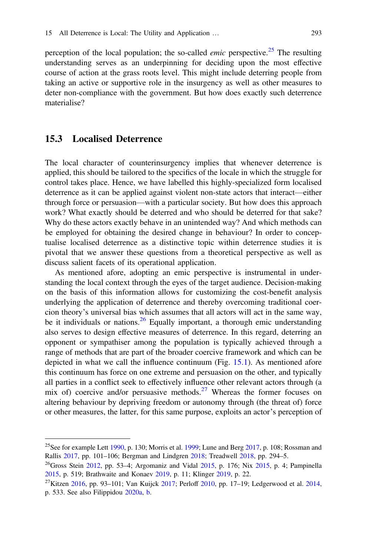<span id="page-6-0"></span>perception of the local population; the so-called *emic* perspective.<sup>25</sup> The resulting understanding serves as an underpinning for deciding upon the most effective course of action at the grass roots level. This might include deterring people from taking an active or supportive role in the insurgency as well as other measures to deter non-compliance with the government. But how does exactly such deterrence materialise?

## 15.3 Localised Deterrence

The local character of counterinsurgency implies that whenever deterrence is applied, this should be tailored to the specifics of the locale in which the struggle for control takes place. Hence, we have labelled this highly-specialized form localised deterrence as it can be applied against violent non-state actors that interact—either through force or persuasion—with a particular society. But how does this approach work? What exactly should be deterred and who should be deterred for that sake? Why do these actors exactly behave in an unintended way? And which methods can be employed for obtaining the desired change in behaviour? In order to conceptualise localised deterrence as a distinctive topic within deterrence studies it is pivotal that we answer these questions from a theoretical perspective as well as discuss salient facets of its operational application.

As mentioned afore, adopting an emic perspective is instrumental in understanding the local context through the eyes of the target audience. Decision-making on the basis of this information allows for customizing the cost-benefit analysis underlying the application of deterrence and thereby overcoming traditional coercion theory's universal bias which assumes that all actors will act in the same way, be it individuals or nations.  $26$  Equally important, a thorough emic understanding also serves to design effective measures of deterrence. In this regard, deterring an opponent or sympathiser among the population is typically achieved through a range of methods that are part of the broader coercive framework and which can be depicted in what we call the influence continuum (Fig. [15.1\)](#page-7-0). As mentioned afore this continuum has force on one extreme and persuasion on the other, and typically all parties in a conflict seek to effectively influence other relevant actors through (a mix of) coercive and/or persuasive methods.<sup>27</sup> Whereas the former focuses on altering behaviour by depriving freedom or autonomy through (the threat of) force or other measures, the latter, for this same purpose, exploits an actor's perception of

<sup>&</sup>lt;sup>25</sup>See for example Lett [1990,](#page-20-0) p. 130; Morris et al. [1999;](#page-21-0) Lune and Berg [2017](#page-20-0), p. 108; Rossman and Rallis [2017](#page-22-0), pp. 101–106; Bergman and Lindgren [2018](#page-17-0); Treadwell [2018](#page-22-0), pp. 294–5.

 $^{26}$ Gross Stein [2012](#page-18-0), pp. 53–4; Argomaniz and Vidal [2015](#page-21-0), p. 176; Nix 2015, p. 4; Pampinella [2015,](#page-21-0) p. 519; Brathwaite and Konaev [2019](#page-17-0), p. 11; Klinger [2019](#page-19-0), p. 22.

<sup>&</sup>lt;sup>27</sup>Kitzen [2016](#page-19-0), pp. 93-101; Van Kuijck [2017](#page-22-0); Perloff [2010](#page-21-0), pp. 17-19; Ledgerwood et al. [2014](#page-20-0), p. 533. See also Filippidou [2020a](#page-18-0), [b.](#page-18-0)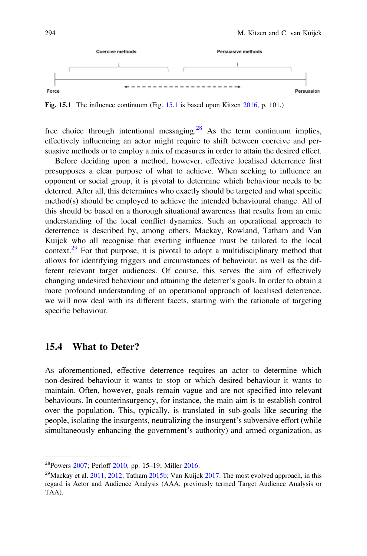<span id="page-7-0"></span>

Fig. 15.1 The influence continuum (Fig. 15.1 is based upon Kitzen [2016](#page-19-0), p. 101.)

free choice through intentional messaging.<sup>28</sup> As the term continuum implies, effectively influencing an actor might require to shift between coercive and persuasive methods or to employ a mix of measures in order to attain the desired effect.

Before deciding upon a method, however, effective localised deterrence first presupposes a clear purpose of what to achieve. When seeking to influence an opponent or social group, it is pivotal to determine which behaviour needs to be deterred. After all, this determines who exactly should be targeted and what specific method(s) should be employed to achieve the intended behavioural change. All of this should be based on a thorough situational awareness that results from an emic understanding of the local conflict dynamics. Such an operational approach to deterrence is described by, among others, Mackay, Rowland, Tatham and Van Kuijck who all recognise that exerting influence must be tailored to the local context.<sup>29</sup> For that purpose, it is pivotal to adopt a multidisciplinary method that allows for identifying triggers and circumstances of behaviour, as well as the different relevant target audiences. Of course, this serves the aim of effectively changing undesired behaviour and attaining the deterrer's goals. In order to obtain a more profound understanding of an operational approach of localised deterrence, we will now deal with its different facets, starting with the rationale of targeting specific behaviour.

# 15.4 What to Deter?

As aforementioned, effective deterrence requires an actor to determine which non-desired behaviour it wants to stop or which desired behaviour it wants to maintain. Often, however, goals remain vague and are not specified into relevant behaviours. In counterinsurgency, for instance, the main aim is to establish control over the population. This, typically, is translated in sub-goals like securing the people, isolating the insurgents, neutralizing the insurgent's subversive effort (while simultaneously enhancing the government's authority) and armed organization, as

<sup>28</sup>Powers [2007;](#page-21-0) Perloff [2010](#page-21-0), pp. 15–19; Miller [2016](#page-20-0).

<sup>&</sup>lt;sup>29</sup>Mackay et al.  $2011$ ,  $2012$ ; Tatham  $2015b$ ; Van Kuijck  $2017$ . The most evolved approach, in this regard is Actor and Audience Analysis (AAA, previously termed Target Audience Analysis or TAA).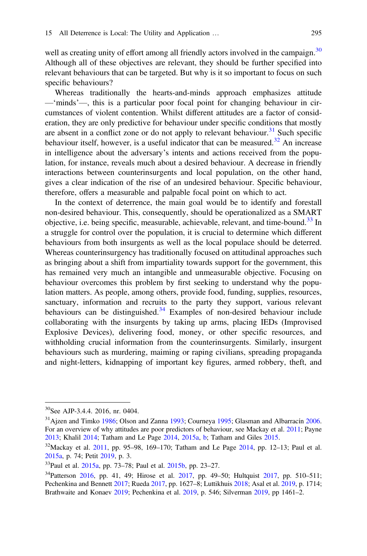well as creating unity of effort among all friendly actors involved in the campaign.<sup>30</sup> Although all of these objectives are relevant, they should be further specified into relevant behaviours that can be targeted. But why is it so important to focus on such specific behaviours?

Whereas traditionally the hearts-and-minds approach emphasizes attitude —'minds'—, this is a particular poor focal point for changing behaviour in circumstances of violent contention. Whilst different attitudes are a factor of consideration, they are only predictive for behaviour under specific conditions that mostly are absent in a conflict zone or do not apply to relevant behaviour.<sup>31</sup> Such specific behaviour itself, however, is a useful indicator that can be measured.<sup>32</sup> An increase in intelligence about the adversary's intents and actions received from the population, for instance, reveals much about a desired behaviour. A decrease in friendly interactions between counterinsurgents and local population, on the other hand, gives a clear indication of the rise of an undesired behaviour. Specific behaviour, therefore, offers a measurable and palpable focal point on which to act.

In the context of deterrence, the main goal would be to identify and forestall non-desired behaviour. This, consequently, should be operationalized as a SMART objective, i.e. being specific, measurable, achievable, relevant, and time-bound.<sup>33</sup> In a struggle for control over the population, it is crucial to determine which different behaviours from both insurgents as well as the local populace should be deterred. Whereas counterinsurgency has traditionally focused on attitudinal approaches such as bringing about a shift from impartiality towards support for the government, this has remained very much an intangible and unmeasurable objective. Focusing on behaviour overcomes this problem by first seeking to understand why the population matters. As people, among others, provide food, funding, supplies, resources, sanctuary, information and recruits to the party they support, various relevant behaviours can be distinguished.<sup>34</sup> Examples of non-desired behaviour include collaborating with the insurgents by taking up arms, placing IEDs (Improvised Explosive Devices), delivering food, money, or other specific resources, and withholding crucial information from the counterinsurgents. Similarly, insurgent behaviours such as murdering, maiming or raping civilians, spreading propaganda and night-letters, kidnapping of important key figures, armed robbery, theft, and

<sup>30</sup>See AJP-3.4.4. 2016, nr. 0404.

<sup>31</sup>Ajzen and Timko [1986;](#page-16-0) Olson and Zanna [1993;](#page-21-0) Courneya [1995](#page-18-0); Glasman and Albarracín [2006](#page-18-0). For an overview of why attitudes are poor predictors of behaviour, see Mackay et al. [2011](#page-20-0); Payne [2013;](#page-21-0) Khalil [2014;](#page-19-0) Tatham and Le Page [2014,](#page-22-0) [2015a](#page-22-0), [b;](#page-22-0) Tatham and Giles [2015.](#page-22-0)

 $32M$ ackay et al. [2011,](#page-20-0) pp. 95–98, 169–170; Tatham and Le Page [2014](#page-22-0), pp. 12–13; Paul et al. [2015a](#page-21-0), p. 74; Petit [2019](#page-21-0), p. 3.

<sup>33</sup>Paul et al. [2015a](#page-21-0), pp. 73–78; Paul et al. [2015b,](#page-21-0) pp. 23–27.

<sup>&</sup>lt;sup>34</sup>Patterson [2016](#page-21-0), pp. 41, 49; Hirose et al. [2017,](#page-18-0) pp. 49–50; Hultquist [2017](#page-18-0), pp. 510–511; Pechenkina and Bennett [2017](#page-21-0); Rueda [2017,](#page-22-0) pp. 1627–8; Luttikhuis [2018](#page-20-0); Asal et al. [2019,](#page-17-0) p. 1714; Brathwaite and Konaev [2019](#page-17-0); Pechenkina et al. [2019,](#page-21-0) p. 546; Silverman [2019](#page-22-0), pp 1461–2.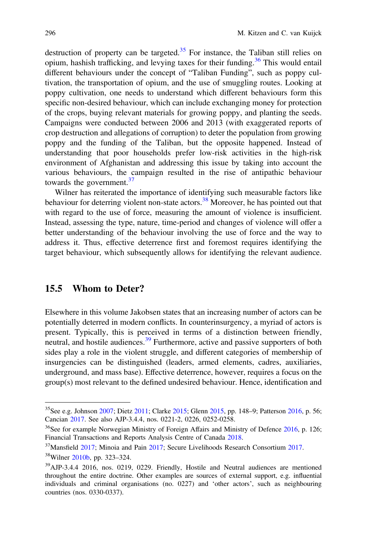<span id="page-9-0"></span>destruction of property can be targeted. $35$  For instance, the Taliban still relies on opium, hashish trafficking, and levying taxes for their funding.<sup>36</sup> This would entail different behaviours under the concept of "Taliban Funding", such as poppy cultivation, the transportation of opium, and the use of smuggling routes. Looking at poppy cultivation, one needs to understand which different behaviours form this specific non-desired behaviour, which can include exchanging money for protection of the crops, buying relevant materials for growing poppy, and planting the seeds. Campaigns were conducted between 2006 and 2013 (with exaggerated reports of crop destruction and allegations of corruption) to deter the population from growing poppy and the funding of the Taliban, but the opposite happened. Instead of understanding that poor households prefer low-risk activities in the high-risk environment of Afghanistan and addressing this issue by taking into account the various behaviours, the campaign resulted in the rise of antipathic behaviour towards the government.<sup>37</sup>

Wilner has reiterated the importance of identifying such measurable factors like behaviour for deterring violent non-state actors.<sup>38</sup> Moreover, he has pointed out that with regard to the use of force, measuring the amount of violence is insufficient. Instead, assessing the type, nature, time-period and changes of violence will offer a better understanding of the behaviour involving the use of force and the way to address it. Thus, effective deterrence first and foremost requires identifying the target behaviour, which subsequently allows for identifying the relevant audience.

# 15.5 Whom to Deter?

Elsewhere in this volume Jakobsen states that an increasing number of actors can be potentially deterred in modern conflicts. In counterinsurgency, a myriad of actors is present. Typically, this is perceived in terms of a distinction between friendly, neutral, and hostile audiences.<sup>39</sup> Furthermore, active and passive supporters of both sides play a role in the violent struggle, and different categories of membership of insurgencies can be distinguished (leaders, armed elements, cadres, auxiliaries, underground, and mass base). Effective deterrence, however, requires a focus on the group(s) most relevant to the defined undesired behaviour. Hence, identification and

<sup>&</sup>lt;sup>35</sup>See e.g. Johnson [2007;](#page-19-0) Dietz [2011;](#page-18-0) Clarke [2015;](#page-17-0) Glenn [2015](#page-18-0), pp. 148–9; Patterson [2016,](#page-21-0) p. 56; Cancian [2017](#page-17-0). See also AJP-3.4.4, nos. 0221-2, 0226, 0252-0258.

 $36$ See for example Norwegian Ministry of Foreign Affairs and Ministry of Defence [2016,](#page-21-0) p. 126; Financial Transactions and Reports Analysis Centre of Canada [2018.](#page-18-0)

 $37$ Mansfield  $2017$ ; Minoia and Pain  $2017$ ; Secure Livelihoods Research Consortium  $2017$ . 38Wilner [2010b](#page-22-0), pp. 323–324.

<sup>39</sup>AJP-3.4.4 2016, nos. 0219, 0229. Friendly, Hostile and Neutral audiences are mentioned throughout the entire doctrine. Other examples are sources of external support, e.g. influential individuals and criminal organisations (no. 0227) and 'other actors', such as neighbouring countries (nos. 0330-0337).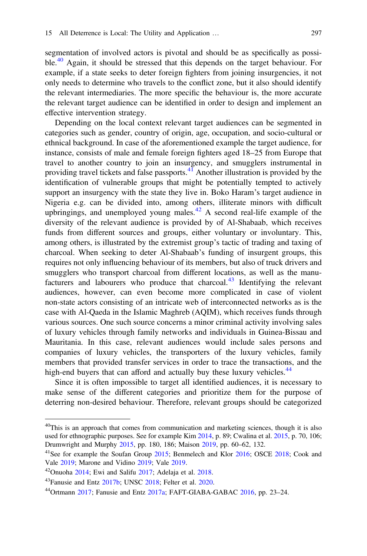segmentation of involved actors is pivotal and should be as specifically as possible.<sup>40</sup> Again, it should be stressed that this depends on the target behaviour. For example, if a state seeks to deter foreign fighters from joining insurgencies, it not only needs to determine who travels to the conflict zone, but it also should identify the relevant intermediaries. The more specific the behaviour is, the more accurate the relevant target audience can be identified in order to design and implement an effective intervention strategy.

Depending on the local context relevant target audiences can be segmented in categories such as gender, country of origin, age, occupation, and socio-cultural or ethnical background. In case of the aforementioned example the target audience, for instance, consists of male and female foreign fighters aged 18–25 from Europe that travel to another country to join an insurgency, and smugglers instrumental in providing travel tickets and false passports. $4^{1}$  Another illustration is provided by the identification of vulnerable groups that might be potentially tempted to actively support an insurgency with the state they live in. Boko Haram's target audience in Nigeria e.g. can be divided into, among others, illiterate minors with difficult upbringings, and unemployed young males.<sup> $42$ </sup> A second real-life example of the diversity of the relevant audience is provided by of Al-Shabaab, which receives funds from different sources and groups, either voluntary or involuntary. This, among others, is illustrated by the extremist group's tactic of trading and taxing of charcoal. When seeking to deter Al-Shabaab's funding of insurgent groups, this requires not only influencing behaviour of its members, but also of truck drivers and smugglers who transport charcoal from different locations, as well as the manufacturers and labourers who produce that charcoal.<sup>43</sup> Identifying the relevant audiences, however, can even become more complicated in case of violent non-state actors consisting of an intricate web of interconnected networks as is the case with Al-Qaeda in the Islamic Maghreb (AQIM), which receives funds through various sources. One such source concerns a minor criminal activity involving sales of luxury vehicles through family networks and individuals in Guinea-Bissau and Mauritania. In this case, relevant audiences would include sales persons and companies of luxury vehicles, the transporters of the luxury vehicles, family members that provided transfer services in order to trace the transactions, and the high-end buyers that can afford and actually buy these luxury vehicles.<sup>44</sup>

Since it is often impossible to target all identified audiences, it is necessary to make sense of the different categories and prioritize them for the purpose of deterring non-desired behaviour. Therefore, relevant groups should be categorized

<sup>&</sup>lt;sup>40</sup>This is an approach that comes from communication and marketing sciences, though it is also used for ethnographic purposes. See for example Kim [2014,](#page-19-0) p. 89; Cwalina et al. [2015](#page-18-0), p. 70, 106; Drumwright and Murphy [2015](#page-18-0), pp. 180, 186; Maison [2019,](#page-20-0) pp. 60–62, 132.

<sup>&</sup>lt;sup>41</sup>See for example the Soufan Group [2015;](#page-22-0) Benmelech and Klor [2016](#page-17-0); OSCE [2018](#page-21-0); Cook and Vale [2019](#page-17-0); Marone and Vidino [2019;](#page-20-0) Vale [2019](#page-22-0).

 $42$ Onuoha [2014;](#page-21-0) Ewi and Salifu [2017;](#page-18-0) Adelaja et al. [2018.](#page-16-0)

 $^{43}$ Fanusie and Entz  $2017b$ ; UNSC  $2018$ ; Felter et al.  $2020$ .

<sup>&</sup>lt;sup>44</sup>Ortmann [2017;](#page-21-0) Fanusie and Entz [2017a;](#page-18-0) FAFT-GIABA-GABAC [2016,](#page-18-0) pp. 23-24.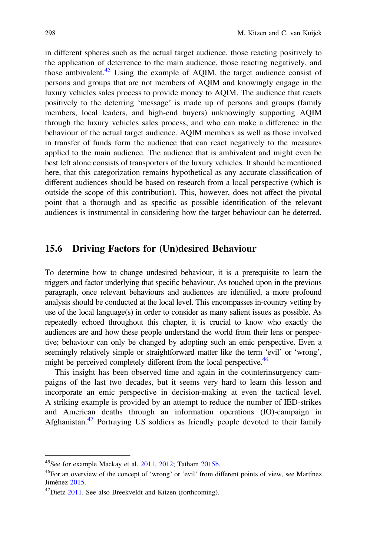<span id="page-11-0"></span>in different spheres such as the actual target audience, those reacting positively to the application of deterrence to the main audience, those reacting negatively, and those ambivalent.<sup>45</sup> Using the example of AQIM, the target audience consist of persons and groups that are not members of AQIM and knowingly engage in the luxury vehicles sales process to provide money to AQIM. The audience that reacts positively to the deterring 'message' is made up of persons and groups (family members, local leaders, and high-end buyers) unknowingly supporting AQIM through the luxury vehicles sales process, and who can make a difference in the behaviour of the actual target audience. AQIM members as well as those involved in transfer of funds form the audience that can react negatively to the measures applied to the main audience. The audience that is ambivalent and might even be best left alone consists of transporters of the luxury vehicles. It should be mentioned here, that this categorization remains hypothetical as any accurate classification of different audiences should be based on research from a local perspective (which is outside the scope of this contribution). This, however, does not affect the pivotal point that a thorough and as specific as possible identification of the relevant audiences is instrumental in considering how the target behaviour can be deterred.

# 15.6 Driving Factors for (Un)desired Behaviour

To determine how to change undesired behaviour, it is a prerequisite to learn the triggers and factor underlying that specific behaviour. As touched upon in the previous paragraph, once relevant behaviours and audiences are identified, a more profound analysis should be conducted at the local level. This encompasses in-country vetting by use of the local language(s) in order to consider as many salient issues as possible. As repeatedly echoed throughout this chapter, it is crucial to know who exactly the audiences are and how these people understand the world from their lens or perspective; behaviour can only be changed by adopting such an emic perspective. Even a seemingly relatively simple or straightforward matter like the term 'evil' or 'wrong', might be perceived completely different from the local perspective.<sup>46</sup>

This insight has been observed time and again in the counterinsurgency campaigns of the last two decades, but it seems very hard to learn this lesson and incorporate an emic perspective in decision-making at even the tactical level. A striking example is provided by an attempt to reduce the number of IED-strikes and American deaths through an information operations (IO)-campaign in Afghanistan.<sup>47</sup> Portraying US soldiers as friendly people devoted to their family

<sup>&</sup>lt;sup>45</sup>See for example Mackay et al. [2011](#page-20-0), [2012](#page-20-0); Tatham [2015b](#page-22-0).

<sup>&</sup>lt;sup>46</sup>For an overview of the concept of 'wrong' or 'evil' from different points of view, see Martínez Jiménez [2015](#page-20-0).

 $47$ Dietz [2011](#page-18-0). See also Breekveldt and Kitzen (forthcoming).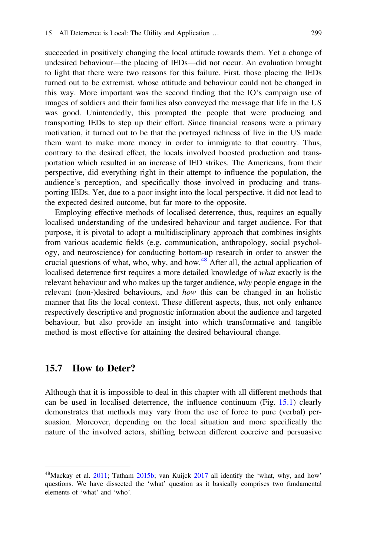<span id="page-12-0"></span>succeeded in positively changing the local attitude towards them. Yet a change of undesired behaviour—the placing of IEDs—did not occur. An evaluation brought to light that there were two reasons for this failure. First, those placing the IEDs turned out to be extremist, whose attitude and behaviour could not be changed in this way. More important was the second finding that the IO's campaign use of images of soldiers and their families also conveyed the message that life in the US was good. Unintendedly, this prompted the people that were producing and transporting IEDs to step up their effort. Since financial reasons were a primary motivation, it turned out to be that the portrayed richness of live in the US made them want to make more money in order to immigrate to that country. Thus, contrary to the desired effect, the locals involved boosted production and transportation which resulted in an increase of IED strikes. The Americans, from their perspective, did everything right in their attempt to influence the population, the audience's perception, and specifically those involved in producing and transporting IEDs. Yet, due to a poor insight into the local perspective. it did not lead to the expected desired outcome, but far more to the opposite.

Employing effective methods of localised deterrence, thus, requires an equally localised understanding of the undesired behaviour and target audience. For that purpose, it is pivotal to adopt a multidisciplinary approach that combines insights from various academic fields (e.g. communication, anthropology, social psychology, and neuroscience) for conducting bottom-up research in order to answer the crucial questions of what, who, why, and how. $48$  After all, the actual application of localised deterrence first requires a more detailed knowledge of what exactly is the relevant behaviour and who makes up the target audience, why people engage in the relevant (non-)desired behaviours, and how this can be changed in an holistic manner that fits the local context. These different aspects, thus, not only enhance respectively descriptive and prognostic information about the audience and targeted behaviour, but also provide an insight into which transformative and tangible method is most effective for attaining the desired behavioural change.

## 15.7 How to Deter?

Although that it is impossible to deal in this chapter with all different methods that can be used in localised deterrence, the influence continuum (Fig. [15.1](#page-7-0)) clearly demonstrates that methods may vary from the use of force to pure (verbal) persuasion. Moreover, depending on the local situation and more specifically the nature of the involved actors, shifting between different coercive and persuasive

<sup>&</sup>lt;sup>48</sup>Mackay et al. [2011;](#page-20-0) Tatham [2015b;](#page-22-0) van Kuijck [2017](#page-22-0) all identify the 'what, why, and how' questions. We have dissected the 'what' question as it basically comprises two fundamental elements of 'what' and 'who'.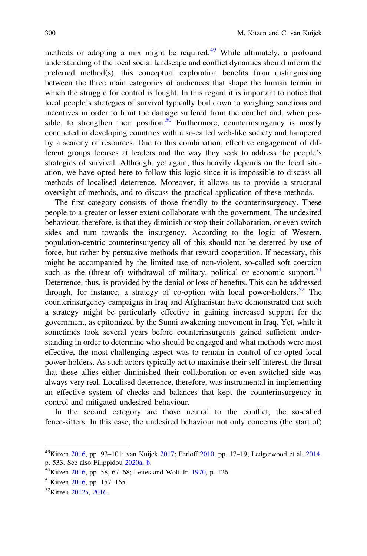methods or adopting a mix might be required.<sup>49</sup> While ultimately, a profound understanding of the local social landscape and conflict dynamics should inform the preferred method(s), this conceptual exploration benefits from distinguishing between the three main categories of audiences that shape the human terrain in which the struggle for control is fought. In this regard it is important to notice that local people's strategies of survival typically boil down to weighing sanctions and incentives in order to limit the damage suffered from the conflict and, when possible, to strengthen their position.<sup>50</sup> Furthermore, counterinsurgency is mostly conducted in developing countries with a so-called web-like society and hampered by a scarcity of resources. Due to this combination, effective engagement of different groups focuses at leaders and the way they seek to address the people's strategies of survival. Although, yet again, this heavily depends on the local situation, we have opted here to follow this logic since it is impossible to discuss all methods of localised deterrence. Moreover, it allows us to provide a structural oversight of methods, and to discuss the practical application of these methods.

The first category consists of those friendly to the counterinsurgency. These people to a greater or lesser extent collaborate with the government. The undesired behaviour, therefore, is that they diminish or stop their collaboration, or even switch sides and turn towards the insurgency. According to the logic of Western, population-centric counterinsurgency all of this should not be deterred by use of force, but rather by persuasive methods that reward cooperation. If necessary, this might be accompanied by the limited use of non-violent, so-called soft coercion such as the (threat of) withdrawal of military, political or economic support.<sup>51</sup> Deterrence, thus, is provided by the denial or loss of benefits. This can be addressed through, for instance, a strategy of co-option with local power-holders.<sup>52</sup> The counterinsurgency campaigns in Iraq and Afghanistan have demonstrated that such a strategy might be particularly effective in gaining increased support for the government, as epitomized by the Sunni awakening movement in Iraq. Yet, while it sometimes took several years before counterinsurgents gained sufficient understanding in order to determine who should be engaged and what methods were most effective, the most challenging aspect was to remain in control of co-opted local power-holders. As such actors typically act to maximise their self-interest, the threat that these allies either diminished their collaboration or even switched side was always very real. Localised deterrence, therefore, was instrumental in implementing an effective system of checks and balances that kept the counterinsurgency in control and mitigated undesired behaviour.

In the second category are those neutral to the conflict, the so-called fence-sitters. In this case, the undesired behaviour not only concerns (the start of)

<sup>49</sup>Kitzen [2016](#page-19-0), pp. 93–101; van Kuijck [2017;](#page-22-0) Perloff [2010](#page-21-0), pp. 17–19; Ledgerwood et al. [2014](#page-20-0), p. 533. See also Filippidou [2020a](#page-18-0), [b.](#page-18-0)

<sup>50</sup>Kitzen [2016](#page-19-0), pp. 58, 67–68; Leites and Wolf Jr. [1970](#page-20-0), p. 126.

<sup>51</sup>Kitzen [2016](#page-19-0), pp. 157–165.

<sup>52</sup>Kitzen [2012a](#page-19-0), [2016.](#page-19-0)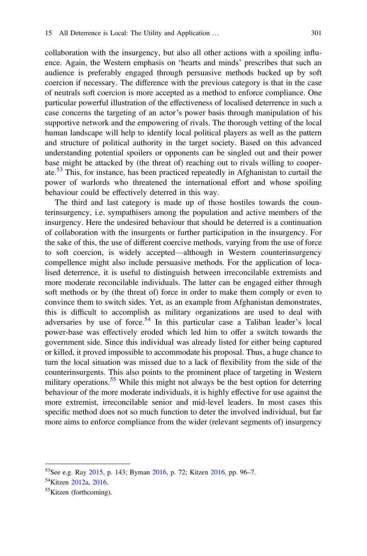collaboration with the insurgency, but also all other actions with a spoiling influence. Again, the Western emphasis on 'hearts and minds' prescribes that such an audience is preferably engaged through persuasive methods backed up by soft coercion if necessary. The difference with the previous category is that in the case of neutrals soft coercion is more accepted as a method to enforce compliance. One particular powerful illustration of the effectiveness of localised deterrence in such a case concerns the targeting of an actor's power basis through manipulation of his supportive network and the empowering of rivals. The thorough vetting of the local human landscape will help to identify local political players as well as the pattern and structure of political authority in the target society. Based on this advanced understanding potential spoilers or opponents can be singled out and their power base might be attacked by (the threat of) reaching out to rivals willing to cooperate.<sup>53</sup> This, for instance, has been practiced repeatedly in Afghanistan to curtail the power of warlords who threatened the international effort and whose spoiling behaviour could be effectively deterred in this way.

The third and last category is made up of those hostiles towards the counterinsurgency, i.e. sympathisers among the population and active members of the insurgency. Here the undesired behaviour that should be deterred is a continuation of collaboration with the insurgents or further participation in the insurgency. For the sake of this, the use of different coercive methods, varying from the use of force to soft coercion, is widely accepted—although in Western counterinsurgency compellence might also include persuasive methods. For the application of localised deterrence, it is useful to distinguish between irreconcilable extremists and more moderate reconcilable individuals. The latter can be engaged either through soft methods or by (the threat of) force in order to make them comply or even to convince them to switch sides. Yet, as an example from Afghanistan demonstrates, this is difficult to accomplish as military organizations are used to deal with adversaries by use of force.<sup>54</sup> In this particular case a Taliban leader's local power-base was effectively eroded which led him to offer a switch towards the government side. Since this individual was already listed for either being captured or killed, it proved impossible to accommodate his proposal. Thus, a huge chance to turn the local situation was missed due to a lack of flexibility from the side of the counterinsurgents. This also points to the prominent place of targeting in Western military operations.<sup>55</sup> While this might not always be the best option for deterring behaviour of the more moderate individuals, it is highly effective for use against the more extremist, irreconcilable senior and mid-level leaders. In most cases this specific method does not so much function to deter the involved individual, but far more aims to enforce compliance from the wider (relevant segments of) insurgency

<sup>53</sup>See e.g. Ray [2015](#page-21-0), p. 143; Byman [2016,](#page-17-0) p. 72; Kitzen [2016](#page-19-0), pp. 96–7.

<sup>54</sup>Kitzen [2012a](#page-19-0), [2016.](#page-19-0)

<sup>55</sup>Kitzen (forthcoming).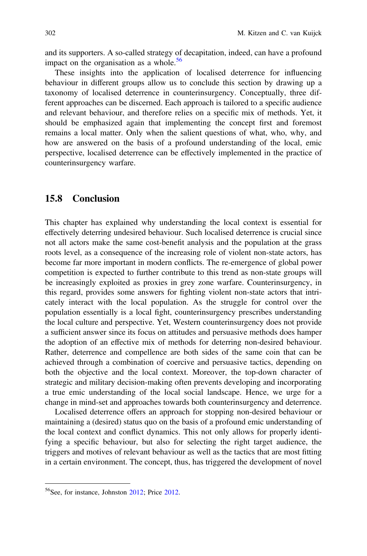<span id="page-15-0"></span>and its supporters. A so-called strategy of decapitation, indeed, can have a profound impact on the organisation as a whole.<sup>56</sup>

These insights into the application of localised deterrence for influencing behaviour in different groups allow us to conclude this section by drawing up a taxonomy of localised deterrence in counterinsurgency. Conceptually, three different approaches can be discerned. Each approach is tailored to a specific audience and relevant behaviour, and therefore relies on a specific mix of methods. Yet, it should be emphasized again that implementing the concept first and foremost remains a local matter. Only when the salient questions of what, who, why, and how are answered on the basis of a profound understanding of the local, emic perspective, localised deterrence can be effectively implemented in the practice of counterinsurgency warfare.

## 15.8 Conclusion

This chapter has explained why understanding the local context is essential for effectively deterring undesired behaviour. Such localised deterrence is crucial since not all actors make the same cost-benefit analysis and the population at the grass roots level, as a consequence of the increasing role of violent non-state actors, has become far more important in modern conflicts. The re-emergence of global power competition is expected to further contribute to this trend as non-state groups will be increasingly exploited as proxies in grey zone warfare. Counterinsurgency, in this regard, provides some answers for fighting violent non-state actors that intricately interact with the local population. As the struggle for control over the population essentially is a local fight, counterinsurgency prescribes understanding the local culture and perspective. Yet, Western counterinsurgency does not provide a sufficient answer since its focus on attitudes and persuasive methods does hamper the adoption of an effective mix of methods for deterring non-desired behaviour. Rather, deterrence and compellence are both sides of the same coin that can be achieved through a combination of coercive and persuasive tactics, depending on both the objective and the local context. Moreover, the top-down character of strategic and military decision-making often prevents developing and incorporating a true emic understanding of the local social landscape. Hence, we urge for a change in mind-set and approaches towards both counterinsurgency and deterrence.

Localised deterrence offers an approach for stopping non-desired behaviour or maintaining a (desired) status quo on the basis of a profound emic understanding of the local context and conflict dynamics. This not only allows for properly identifying a specific behaviour, but also for selecting the right target audience, the triggers and motives of relevant behaviour as well as the tactics that are most fitting in a certain environment. The concept, thus, has triggered the development of novel

<sup>&</sup>lt;sup>56</sup>See, for instance, Johnston [2012;](#page-19-0) Price [2012.](#page-21-0)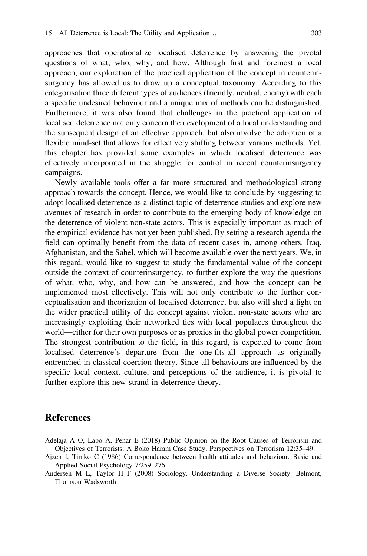<span id="page-16-0"></span>approaches that operationalize localised deterrence by answering the pivotal questions of what, who, why, and how. Although first and foremost a local approach, our exploration of the practical application of the concept in counterinsurgency has allowed us to draw up a conceptual taxonomy. According to this categorisation three different types of audiences (friendly, neutral, enemy) with each a specific undesired behaviour and a unique mix of methods can be distinguished. Furthermore, it was also found that challenges in the practical application of localised deterrence not only concern the development of a local understanding and the subsequent design of an effective approach, but also involve the adoption of a flexible mind-set that allows for effectively shifting between various methods. Yet, this chapter has provided some examples in which localised deterrence was effectively incorporated in the struggle for control in recent counterinsurgency campaigns.

Newly available tools offer a far more structured and methodological strong approach towards the concept. Hence, we would like to conclude by suggesting to adopt localised deterrence as a distinct topic of deterrence studies and explore new avenues of research in order to contribute to the emerging body of knowledge on the deterrence of violent non-state actors. This is especially important as much of the empirical evidence has not yet been published. By setting a research agenda the field can optimally benefit from the data of recent cases in, among others, Iraq, Afghanistan, and the Sahel, which will become available over the next years. We, in this regard, would like to suggest to study the fundamental value of the concept outside the context of counterinsurgency, to further explore the way the questions of what, who, why, and how can be answered, and how the concept can be implemented most effectively. This will not only contribute to the further conceptualisation and theorization of localised deterrence, but also will shed a light on the wider practical utility of the concept against violent non-state actors who are increasingly exploiting their networked ties with local populaces throughout the world—either for their own purposes or as proxies in the global power competition. The strongest contribution to the field, in this regard, is expected to come from localised deterrence's departure from the one-fits-all approach as originally entrenched in classical coercion theory. Since all behaviours are influenced by the specific local context, culture, and perceptions of the audience, it is pivotal to further explore this new strand in deterrence theory.

#### References

- Adelaja A O, Labo A, Penar E (2018) Public Opinion on the Root Causes of Terrorism and Objectives of Terrorists: A Boko Haram Case Study. Perspectives on Terrorism 12:35–49.
- Ajzen I, Timko C (1986) Correspondence between health attitudes and behaviour. Basic and Applied Social Psychology 7:259–276
- Andersen M L, Taylor H F (2008) Sociology. Understanding a Diverse Society. Belmont, Thomson Wadsworth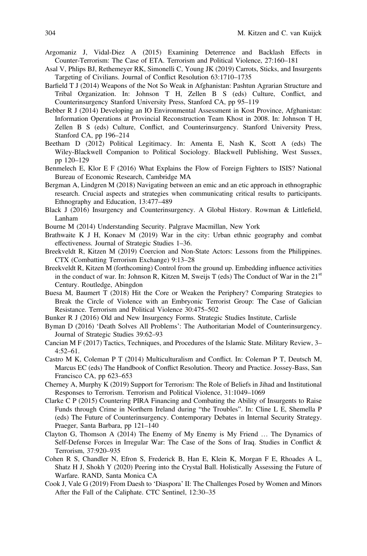- <span id="page-17-0"></span>Argomaniz J, Vidal-Diez A (2015) Examining Deterrence and Backlash Effects in Counter-Terrorism: The Case of ETA. Terrorism and Political Violence, 27:160–181
- Asal V, Phlips BJ, Rethemeyer RK, Simonelli C, Young JK (2019) Carrots, Sticks, and Insurgents Targeting of Civilians. Journal of Conflict Resolution 63:1710–1735
- Barfield T J (2014) Weapons of the Not So Weak in Afghanistan: Pashtun Agrarian Structure and Tribal Organization. In: Johnson T H, Zellen B S (eds) Culture, Conflict, and Counterinsurgency Stanford University Press, Stanford CA, pp 95–119
- Bebber R J (2014) Developing an IO Environmental Assessment in Kost Province, Afghanistan: Information Operations at Provincial Reconstruction Team Khost in 2008. In: Johnson T H, Zellen B S (eds) Culture, Conflict, and Counterinsurgency. Stanford University Press, Stanford CA, pp 196–214
- Beetham D (2012) Political Legitimacy. In: Amenta E, Nash K, Scott A (eds) The Wiley-Blackwell Companion to Political Sociology. Blackwell Publishing, West Sussex, pp 120–129
- Benmelech E, Klor E F (2016) What Explains the Flow of Foreign Fighters to ISIS? National Bureau of Economic Research, Cambridge MA
- Bergman A, Lindgren M (2018) Navigating between an emic and an etic approach in ethnographic research. Crucial aspects and strategies when communicating critical results to participants. Ethnography and Education, 13:477–489
- Black J (2016) Insurgency and Counterinsurgency. A Global History. Rowman & Littlefield, Lanham
- Bourne M (2014) Understanding Security. Palgrave Macmillan, New York
- Brathwaite K J H, Konaev M (2019) War in the city: Urban ethnic geography and combat effectiveness. Journal of Strategic Studies 1–36.
- Breekveldt R, Kitzen M (2019) Coercion and Non-State Actors: Lessons from the Philippines. CTX (Combatting Terrorism Exchange) 9:13–28
- Breekveldt R, Kitzen M (forthcoming) Control from the ground up. Embedding influence activities in the conduct of war. In: Johnson R, Kitzen M, Sweijs T (eds) The Conduct of War in the 21<sup>st</sup> Century. Routledge, Abingdon
- Buesa M, Baumert T (2018) Hit the Core or Weaken the Periphery? Comparing Strategies to Break the Circle of Violence with an Embryonic Terrorist Group: The Case of Galician Resistance. Terrorism and Political Violence 30:475–502
- Bunker R J (2016) Old and New Insurgency Forms. Strategic Studies Institute, Carlisle
- Byman D (2016) 'Death Solves All Problems': The Authoritarian Model of Counterinsurgency. Journal of Strategic Studies 39:62–93
- Cancian M F (2017) Tactics, Techniques, and Procedures of the Islamic State. Military Review, 3– 4:52–61.
- Castro M K, Coleman P T (2014) Multiculturalism and Conflict. In: Coleman P T, Deutsch M, Marcus EC (eds) The Handbook of Conflict Resolution. Theory and Practice. Jossey-Bass, San Francisco CA, pp 623–653
- Cherney A, Murphy K (2019) Support for Terrorism: The Role of Beliefs in Jihad and Institutional Responses to Terrorism. Terrorism and Political Violence, 31:1049–1069
- Clarke C P (2015) Countering PIRA Financing and Combating the Ability of Insurgents to Raise Funds through Crime in Northern Ireland during "the Troubles". In: Cline L E, Shemella P (eds) The Future of Counterinsurgency. Contemporary Debates in Internal Security Strategy. Praeger, Santa Barbara, pp 121–140
- Clayton G, Thomson A (2014) The Enemy of My Enemy is My Friend … The Dynamics of Self-Defense Forces in Irregular War: The Case of the Sons of Iraq. Studies in Conflict & Terrorism, 37:920–935
- Cohen R S, Chandler N, Efron S, Frederick B, Han E, Klein K, Morgan F E, Rhoades A L, Shatz H J, Shokh Y (2020) Peering into the Crystal Ball. Holistically Assessing the Future of Warfare. RAND, Santa Monica CA
- Cook J, Vale G (2019) From Daesh to 'Diaspora' II: The Challenges Posed by Women and Minors After the Fall of the Caliphate. CTC Sentinel, 12:30–35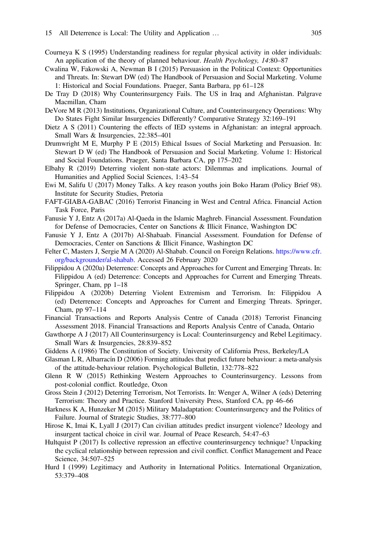- <span id="page-18-0"></span>Courneya K S (1995) Understanding readiness for regular physical activity in older individuals: An application of the theory of planned behaviour. Health Psychology, 14:80–87
- Cwalina W, Fakowski A, Newman B I (2015) Persuasion in the Political Context: Opportunities and Threats. In: Stewart DW (ed) The Handbook of Persuasion and Social Marketing. Volume 1: Historical and Social Foundations. Praeger, Santa Barbara, pp 61–128
- De Tray D (2018) Why Counterinsurgency Fails. The US in Iraq and Afghanistan. Palgrave Macmillan, Cham
- DeVore M R (2013) Institutions, Organizational Culture, and Counterinsurgency Operations: Why Do States Fight Similar Insurgencies Differently? Comparative Strategy 32:169–191
- Dietz A S (2011) Countering the effects of IED systems in Afghanistan: an integral approach. Small Wars & Insurgencies, 22:385–401
- Drumwright M E, Murphy P E (2015) Ethical Issues of Social Marketing and Persuasion. In: Stewart D W (ed) The Handbook of Persuasion and Social Marketing. Volume 1: Historical and Social Foundations. Praeger, Santa Barbara CA, pp 175–202
- Elbahy R (2019) Deterring violent non-state actors: Dilemmas and implications. Journal of Humanities and Applied Social Sciences, 1:43–54
- Ewi M, Salifu U (2017) Money Talks. A key reason youths join Boko Haram (Policy Brief 98). Institute for Security Studies, Pretoria
- FAFT-GIABA-GABAC (2016) Terrorist Financing in West and Central Africa. Financial Action Task Force, Paris
- Fanusie Y J, Entz A (2017a) Al-Qaeda in the Islamic Maghreb. Financial Assessment. Foundation for Defense of Democracies, Center on Sanctions & Illicit Finance, Washington DC
- Fanusie Y J, Entz A (2017b) Al-Shabaab. Financial Assessment. Foundation for Defense of Democracies, Center on Sanctions & Illicit Finance, Washington DC
- Felter C, Masters J, Sergie M A (2020) Al-Shabab. Council on Foreign Relations. [https://www.cfr.](https://www.cfr.org/backgrounder/al-shabab) [org/backgrounder/al-shabab.](https://www.cfr.org/backgrounder/al-shabab) Accessed 26 February 2020
- Filippidou A (2020a) Deterrence: Concepts and Approaches for Current and Emerging Threats. In: Filippidou A (ed) Deterrence: Concepts and Approaches for Current and Emerging Threats. Springer, Cham, pp 1–18
- Filippidou A (2020b) Deterring Violent Extremism and Terrorism. In: Filippidou A (ed) Deterrence: Concepts and Approaches for Current and Emerging Threats. Springer, Cham, pp 97–114
- Financial Transactions and Reports Analysis Centre of Canada (2018) Terrorist Financing Assessment 2018. Financial Transactions and Reports Analysis Centre of Canada, Ontario
- Gawthorpe A J (2017) All Counterinsurgency is Local: Counterinsurgency and Rebel Legitimacy. Small Wars & Insurgencies, 28:839–852
- Giddens A (1986) The Constitution of Society. University of California Press, Berkeley/LA
- Glasman L R, Albarracín D (2006) Forming attitudes that predict future behaviour: a meta-analysis of the attitude-behaviour relation. Psychological Bulletin, 132:778–822
- Glenn R W (2015) Rethinking Western Approaches to Counterinsurgency. Lessons from post-colonial conflict. Routledge, Oxon
- Gross Stein J (2012) Deterring Terrorism, Not Terrorists. In: Wenger A, Wilner A (eds) Deterring Terrorism: Theory and Practice. Stanford University Press, Stanford CA, pp 46–66
- Harkness K A, Hunzeker M (2015) Military Maladaptation: Counterinsurgency and the Politics of Failure. Journal of Strategic Studies, 38:777–800
- Hirose K, Imai K, Lyall J (2017) Can civilian attitudes predict insurgent violence? Ideology and insurgent tactical choice in civil war. Journal of Peace Research, 54:47–63
- Hultquist P (2017) Is collective repression an effective counterinsurgency technique? Unpacking the cyclical relationship between repression and civil conflict. Conflict Management and Peace Science, 34:507–525
- Hurd I (1999) Legitimacy and Authority in International Politics. International Organization, 53:379–408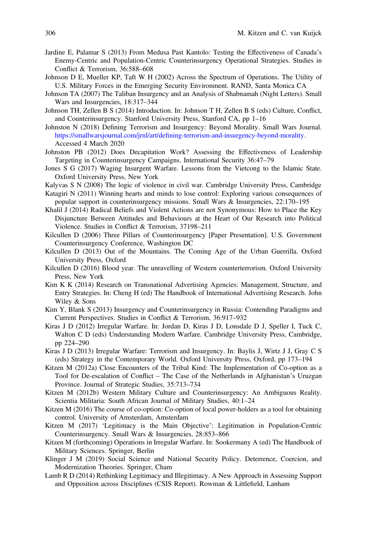- <span id="page-19-0"></span>Jardine E, Palamar S (2013) From Medusa Past Kantolo: Testing the Effectiveness of Canada's Enemy-Centric and Population-Centric Counterinsurgency Operational Strategies. Studies in Conflict & Terrorism, 36:588–608
- Johnson D E, Mueller KP, Taft W H (2002) Across the Spectrum of Operations. The Utility of U.S. Military Forces in the Emerging Security Environment. RAND, Santa Monica CA
- Johnson TA (2007) The Taliban Insurgency and an Analysis of Shabnamah (Night Letters). Small Wars and Insurgencies, 18:317–344
- Johnson TH, Zellen B S (2014) Introduction. In: Johnson T H, Zellen B S (eds) Culture, Conflict, and Counterinsurgency. Stanford University Press, Stanford CA, pp 1–16
- Johnston N (2018) Defining Terrorism and Insurgency: Beyond Morality. Small Wars Journal. https://smallwarsjournal.com/jrnl/art/defi[ning-terrorism-and-insurgency-beyond-morality](https://smallwarsjournal.com/jrnl/art/defining-terrorism-and-insurgency-beyond-morality). Accessed 4 March 2020
- Johnston PB (2012) Does Decapitation Work? Assessing the Effectiveness of Leadership Targeting in Counterinsurgency Campaigns. International Security 36:47–79
- Jones S G (2017) Waging Insurgent Warfare. Lessons from the Vietcong to the Islamic State. Oxford University Press, New York
- Kalyvas S N (2008) The logic of violence in civil war. Cambridge University Press, Cambridge
- Katagiri N (2011) Winning hearts and minds to lose control: Exploring various consequences of popular support in counterinsurgency missions. Small Wars & Insurgencies, 22:170–195
- Khalil J (2014) Radical Beliefs and Violent Actions are not Synonymous: How to Place the Key Disjuncture Between Attitudes and Behaviours at the Heart of Our Research into Political Violence. Studies in Conflict & Terrorism, 37198–211
- Kilcullen D (2006) Three Pillars of Counterinsurgency [Paper Presentation]. U.S. Government Counterinsurgency Conference, Washington DC
- Kilcullen D (2013) Out of the Mountains. The Coming Age of the Urban Guerrilla. Oxford University Press, Oxford
- Kilcullen D (2016) Blood year. The unravelling of Western counterterrorism. Oxford University Press, New York
- Kim K K (2014) Research on Transnational Advertising Agencies: Management, Structure, and Entry Strategies. In: Cheng H (ed) The Handbook of International Advertising Research. John Wiley & Sons
- Kim Y, Blank S (2013) Insurgency and Counterinsurgency in Russia: Contending Paradigms and Current Perspectives. Studies in Conflict & Terrorism, 36:917–932
- Kiras J D (2012) Irregular Warfare. In: Jordan D, Kiras J D, Lonsdale D J, Speller I, Tuck C, Walton C D (eds) Understanding Modern Warfare. Cambridge University Press, Cambridge, pp 224–290
- Kiras J D (2013) Irregular Warfare: Terrorism and Insurgency. In: Baylis J, Wirtz J J, Gray C S (eds) Strategy in the Contemporary World. Oxford University Press, Oxford, pp 173–194
- Kitzen M (2012a) Close Encounters of the Tribal Kind: The Implementation of Co-option as a Tool for De-escalation of Conflict – The Case of the Netherlands in Afghanistan's Uruzgan Province. Journal of Strategic Studies, 35:713–734
- Kitzen M (2012b) Western Military Culture and Counterinsurgency: An Ambiguous Reality. Scientia Militaria: South African Journal of Military Studies, 40:1–24
- Kitzen M (2016) The course of co-option: Co-option of local power-holders as a tool for obtaining control. University of Amsterdam, Amsterdam
- Kitzen M (2017) 'Legitimacy is the Main Objective': Legitimation in Population-Centric Counterinsurgency. Small Wars & Insurgencies, 28:853–866
- Kitzen M (forthcoming) Operations in Irregular Warfare. In: Sookermany A (ed) The Handbook of Military Sciences. Springer, Berlin
- Klinger J M (2019) Social Science and National Security Policy. Deterrence, Coercion, and Modernization Theories. Springer, Cham
- Lamb R D (2014) Rethinking Legitimacy and Illegitimacy. A New Approach in Assessing Support and Opposition across Disciplines (CSIS Report). Rowman & Littlefield, Lanham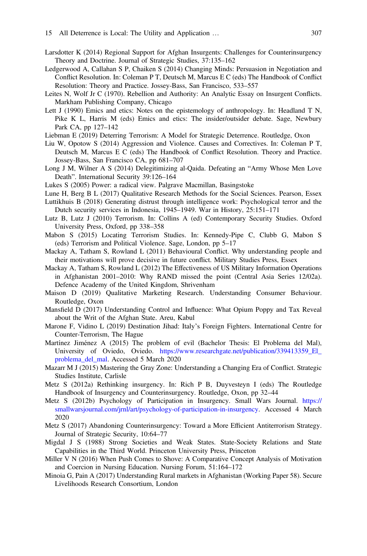- <span id="page-20-0"></span>Larsdotter K (2014) Regional Support for Afghan Insurgents: Challenges for Counterinsurgency Theory and Doctrine. Journal of Strategic Studies, 37:135–162
- Ledgerwood A, Callahan S P, Chaiken S (2014) Changing Minds: Persuasion in Negotiation and Conflict Resolution. In: Coleman P T, Deutsch M, Marcus E C (eds) The Handbook of Conflict Resolution: Theory and Practice. Jossey-Bass, San Francisco, 533–557
- Leites N, Wolf Jr C (1970). Rebellion and Authority: An Analytic Essay on Insurgent Conflicts. Markham Publishing Company, Chicago
- Lett J (1990) Emics and etics: Notes on the epistemology of anthropology. In: Headland T N, Pike K L, Harris M (eds) Emics and etics: The insider/outsider debate. Sage, Newbury Park CA, pp 127–142
- Liebman E (2019) Deterring Terrorism: A Model for Strategic Deterrence. Routledge, Oxon
- Liu W, Opotow S (2014) Aggression and Violence. Causes and Correctives. In: Coleman P T, Deutsch M, Marcus E C (eds) The Handbook of Conflict Resolution. Theory and Practice. Jossey-Bass, San Francisco CA, pp 681–707
- Long J M, Wilner A S (2014) Delegitimizing al-Qaida. Defeating an "Army Whose Men Love Death". International Security 39:126–164
- Lukes S (2005) Power: a radical view. Palgrave Macmillan, Basingstoke
- Lune H, Berg B L (2017) Qualitative Research Methods for the Social Sciences. Pearson, Essex Luttikhuis B (2018) Generating distrust through intelligence work: Psychological terror and the
- Dutch security services in Indonesia, 1945–1949. War in History, 25:151–171
- Lutz B, Lutz J (2010) Terrorism. In: Collins A (ed) Contemporary Security Studies. Oxford University Press, Oxford, pp 338–358
- Mabon S (2015) Locating Terrorism Studies. In: Kennedy-Pipe C, Clubb G, Mabon S (eds) Terrorism and Political Violence. Sage, London, pp 5–17
- Mackay A, Tatham S, Rowland L (2011) Behavioural Conflict. Why understanding people and their motivations will prove decisive in future conflict. Military Studies Press, Essex
- Mackay A, Tatham S, Rowland L (2012) The Effectiveness of US Military Information Operations in Afghanistan 2001–2010: Why RAND missed the point (Central Asia Series 12/02a). Defence Academy of the United Kingdom, Shrivenham
- Maison D (2019) Qualitative Marketing Research. Understanding Consumer Behaviour. Routledge, Oxon
- Mansfield D (2017) Understanding Control and Influence: What Opium Poppy and Tax Reveal about the Writ of the Afghan State. Areu, Kabul
- Marone F, Vidino L (2019) Destination Jihad: Italy's Foreign Fighters. International Centre for Counter-Terrorism, The Hague
- Martínez Jiménez A (2015) The problem of evil (Bachelor Thesis: El Problema del Mal), University of Oviedo, Oviedo. [https://www.researchgate.net/publication/339413359\\_El\\_](https://www.researchgate.net/publication/339413359_El_problema_del_mal) [problema\\_del\\_mal.](https://www.researchgate.net/publication/339413359_El_problema_del_mal) Accessed 5 March 2020
- Mazarr M J (2015) Mastering the Gray Zone: Understanding a Changing Era of Conflict. Strategic Studies Institute, Carlisle
- Metz S (2012a) Rethinking insurgency. In: Rich P B, Duyvesteyn I (eds) The Routledge Handbook of Insurgency and Counterinsurgency. Routledge, Oxon, pp 32–44
- Metz S (2012b) Psychology of Participation in Insurgency. Small Wars Journal. [https://](https://smallwarsjournal.com/jrnl/art/psychology-of-participation-in-insurgency) [smallwarsjournal.com/jrnl/art/psychology-of-participation-in-insurgency.](https://smallwarsjournal.com/jrnl/art/psychology-of-participation-in-insurgency) Accessed 4 March 2020
- Metz S (2017) Abandoning Counterinsurgency: Toward a More Efficient Antiterrorism Strategy. Journal of Strategic Security, 10:64–77
- Migdal J S (1988) Strong Societies and Weak States. State-Society Relations and State Capabilities in the Third World. Princeton University Press, Princeton
- Miller V N (2016) When Push Comes to Shove: A Comparative Concept Analysis of Motivation and Coercion in Nursing Education. Nursing Forum, 51:164–172
- Minoia G, Pain A (2017) Understanding Rural markets in Afghanistan (Working Paper 58). Secure Livelihoods Research Consortium, London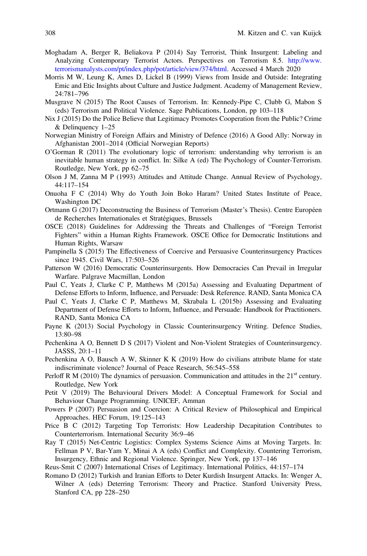- <span id="page-21-0"></span>Moghadam A, Berger R, Beliakova P (2014) Say Terrorist, Think Insurgent: Labeling and Analyzing Contemporary Terrorist Actors. Perspectives on Terrorism 8.5. [http://www.](http://www.terrorismanalysts.com/pt/index.php/pot/article/view/374/html) [terrorismanalysts.com/pt/index.php/pot/article/view/374/html.](http://www.terrorismanalysts.com/pt/index.php/pot/article/view/374/html) Accessed 4 March 2020
- Morris M W, Leung K, Ames D, Lickel B (1999) Views from Inside and Outside: Integrating Emic and Etic Insights about Culture and Justice Judgment. Academy of Management Review, 24:781–796
- Musgrave N (2015) The Root Causes of Terrorism. In: Kennedy-Pipe C, Clubb G, Mabon S (eds) Terrorism and Political Violence. Sage Publications, London, pp 103–118
- Nix J (2015) Do the Police Believe that Legitimacy Promotes Cooperation from the Public? Crime & Delinquency 1–25
- Norwegian Ministry of Foreign Affairs and Ministry of Defence (2016) A Good Ally: Norway in Afghanistan 2001–2014 (Official Norwegian Reports)
- O'Gorman R (2011) The evolutionary logic of terrorism: understanding why terrorism is an inevitable human strategy in conflict. In: Silke A (ed) The Psychology of Counter-Terrorism. Routledge, New York, pp 62–75
- Olson J M, Zanna M P (1993) Attitudes and Attitude Change. Annual Review of Psychology, 44:117–154
- Onuoha F C (2014) Why do Youth Join Boko Haram? United States Institute of Peace, Washington DC
- Ortmann G (2017) Deconstructing the Business of Terrorism (Master's Thesis). Centre Européen de Recherches Internationales et Stratégiques, Brussels
- OSCE (2018) Guidelines for Addressing the Threats and Challenges of "Foreign Terrorist Fighters" within a Human Rights Framework. OSCE Office for Democratic Institutions and Human Rights, Warsaw
- Pampinella S (2015) The Effectiveness of Coercive and Persuasive Counterinsurgency Practices since 1945. Civil Wars, 17:503–526
- Patterson W (2016) Democratic Counterinsurgents. How Democracies Can Prevail in Irregular Warfare. Palgrave Macmillan, London
- Paul C, Yeats J, Clarke C P, Matthews M (2015a) Assessing and Evaluating Department of Defense Efforts to Inform, Influence, and Persuade: Desk Reference. RAND, Santa Monica CA
- Paul C, Yeats J, Clarke C P, Matthews M, Skrabala L (2015b) Assessing and Evaluating Department of Defense Efforts to Inform, Influence, and Persuade: Handbook for Practitioners. RAND, Santa Monica CA
- Payne K (2013) Social Psychology in Classic Counterinsurgency Writing. Defence Studies, 13:80–98
- Pechenkina A O, Bennett D S (2017) Violent and Non-Violent Strategies of Counterinsurgency. JASSS, 20:1–11
- Pechenkina A O, Bausch A W, Skinner K K (2019) How do civilians attribute blame for state indiscriminate violence? Journal of Peace Research, 56:545–558
- Perloff R M (2010) The dynamics of persuasion. Communication and attitudes in the  $21<sup>st</sup>$  century. Routledge, New York
- Petit V (2019) The Behavioural Drivers Model: A Conceptual Framework for Social and Behaviour Change Programming. UNICEF, Amman
- Powers P (2007) Persuasion and Coercion: A Critical Review of Philosophical and Empirical Approaches. HEC Forum, 19:125–143
- Price B C (2012) Targeting Top Terrorists: How Leadership Decapitation Contributes to Counterterrorism. International Security 36:9–46
- Ray T (2015) Net-Centric Logistics: Complex Systems Science Aims at Moving Targets. In: Fellman P V, Bar-Yam Y, Minai A A (eds) Conflict and Complexity. Countering Terrorism, Insurgency, Ethnic and Regional Violence. Springer, New York, pp 137–146
- Reus-Smit C (2007) International Crises of Legitimacy. International Politics, 44:157–174
- Romano D (2012) Turkish and Iranian Efforts to Deter Kurdish Insurgent Attacks. In: Wenger A, Wilner A (eds) Deterring Terrorism: Theory and Practice. Stanford University Press, Stanford CA, pp 228–250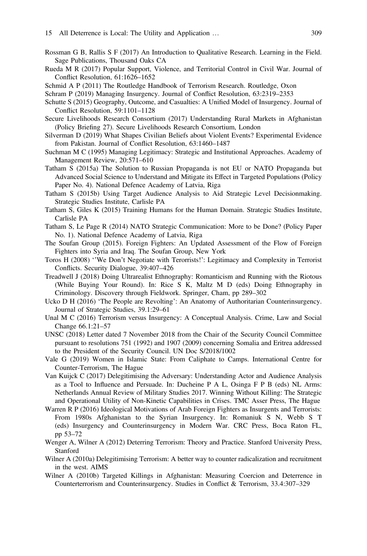- <span id="page-22-0"></span>Rossman G B, Rallis S F (2017) An Introduction to Qualitative Research. Learning in the Field. Sage Publications, Thousand Oaks CA
- Rueda M R (2017) Popular Support, Violence, and Territorial Control in Civil War. Journal of Conflict Resolution, 61:1626–1652
- Schmid A P (2011) The Routledge Handbook of Terrorism Research. Routledge, Oxon
- Schram P (2019) Managing Insurgency. Journal of Conflict Resolution, 63:2319–2353
- Schutte S (2015) Geography, Outcome, and Casualties: A Unified Model of Insurgency. Journal of Conflict Resolution, 59:1101–1128
- Secure Livelihoods Research Consortium (2017) Understanding Rural Markets in Afghanistan (Policy Briefing 27). Secure Livelihoods Research Consortium, London
- Silverman D (2019) What Shapes Civilian Beliefs about Violent Events? Experimental Evidence from Pakistan. Journal of Conflict Resolution, 63:1460–1487
- Suchman M C (1995) Managing Legitimacy: Strategic and Institutional Approaches. Academy of Management Review, 20:571–610
- Tatham S (2015a) The Solution to Russian Propaganda is not EU or NATO Propaganda but Advanced Social Science to Understand and Mitigate its Effect in Targeted Populations (Policy Paper No. 4). National Defence Academy of Latvia, Riga
- Tatham S (2015b) Using Target Audience Analysis to Aid Strategic Level Decisionmaking. Strategic Studies Institute, Carlisle PA
- Tatham S, Giles K (2015) Training Humans for the Human Domain. Strategic Studies Institute, Carlisle PA
- Tatham S, Le Page R (2014) NATO Strategic Communication: More to be Done? (Policy Paper No. 1). National Defence Academy of Latvia, Riga
- The Soufan Group (2015). Foreign Fighters: An Updated Assessment of the Flow of Foreign Fighters into Syria and Iraq. The Soufan Group, New York
- Toros H (2008) ''We Don't Negotiate with Terorrists!': Legitimacy and Complexity in Terrorist Conflicts. Security Dialogue, 39:407–426
- Treadwell J (2018) Doing Ultrarealist Ethnography: Romanticism and Running with the Riotous (While Buying Your Round). In: Rice S K, Maltz M D (eds) Doing Ethnography in Criminology. Discovery through Fieldwork. Springer, Cham, pp 289–302
- Ucko D H (2016) 'The People are Revolting': An Anatomy of Authoritarian Counterinsurgency. Journal of Strategic Studies, 39.1:29–61
- Unal M C (2016) Terrorism versus Insurgency: A Conceptual Analysis. Crime, Law and Social Change 66.1:21–57
- UNSC (2018) Letter dated 7 November 2018 from the Chair of the Security Council Committee pursuant to resolutions 751 (1992) and 1907 (2009) concerning Somalia and Eritrea addressed to the President of the Security Council. UN Doc S/2018/1002
- Vale G (2019) Women in Islamic State: From Caliphate to Camps. International Centre for Counter-Terrorism, The Hague
- Van Kuijck C (2017) Delegitimising the Adversary: Understanding Actor and Audience Analysis as a Tool to Influence and Persuade. In: Ducheine P A L, Osinga F P B (eds) NL Arms: Netherlands Annual Review of Military Studies 2017. Winning Without Killing: The Strategic and Operational Utility of Non-Kinetic Capabilities in Crises. TMC Asser Press, The Hague
- Warren R P (2016) Ideological Motivations of Arab Foreign Fighters as Insurgents and Terrorists: From 1980s Afghanistan to the Syrian Insurgency. In: Romaniuk S N, Webb S T (eds) Insurgency and Counterinsurgency in Modern War. CRC Press, Boca Raton FL, pp 53–72
- Wenger A, Wilner A (2012) Deterring Terrorism: Theory and Practice. Stanford University Press, Stanford
- Wilner A (2010a) Delegitimising Terrorism: A better way to counter radicalization and recruitment in the west. AIMS
- Wilner A (2010b) Targeted Killings in Afghanistan: Measuring Coercion and Deterrence in Counterterrorism and Counterinsurgency. Studies in Conflict & Terrorism, 33.4:307–329